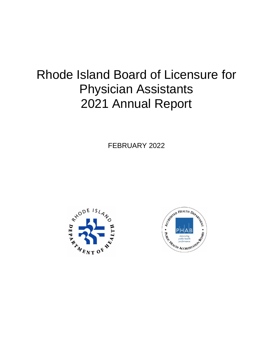# Rhode Island Board of Licensure for Physician Assistants 2021 Annual Report

FEBRUARY 2022



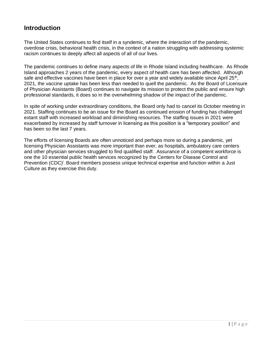#### **Introduction**

The United States continues to find itself in a syndemic, where the interaction of the pandemic, overdose crisis, behavioral health crisis, in the context of a nation struggling with addressing systemic racism continues to deeply affect all aspects of all of our lives.

The pandemic continues to define many aspects of life in Rhode Island including healthcare. As Rhode Island approaches 2 years of the pandemic, every aspect of health care has been affected. Although safe and effective vaccines have been in place for over a year and widely available since April 25<sup>th</sup>, 2021, the vaccine uptake has been less than needed to quell the pandemic. As the Board of Licensure of Physician Assistants (Board) continues to navigate its mission to protect the public and ensure high professional standards, it does so in the overwhelming shadow of the impact of the pandemic.

In spite of working under extraordinary conditions, the Board only had to cancel its October meeting in 2021. Staffing continues to be an issue for the Board as continued erosion of funding has challenged extant staff with increased workload and diminishing resources. The staffing issues in 2021 were exacerbated by increased by staff turnover in licensing as this position is a "temporary position" and has been so the last 7 years.

The efforts of licensing Boards are often unnoticed and perhaps more so during a pandemic, yet licensing Physician Assistants was more important than ever, as hospitals, ambulatory care centers and other physician services struggled to find qualified staff. Assurance of a competent workforce is one the 10 essential public health services recognized by the Centers for Disease Control and Prevention (CDC)<sup>i</sup>. Board members possess unique technical expertise and function within a Just Culture as they exercise this duty.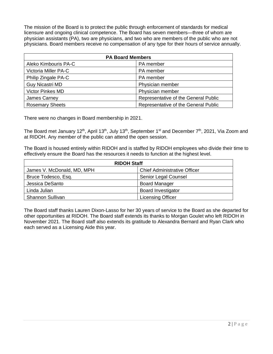The mission of the Board is to protect the public through enforcement of standards for medical licensure and ongoing clinical competence. The Board has seven members—three of whom are physician assistants (PA), two are physicians, and two who are members of the public who are not physicians. Board members receive no compensation of any type for their hours of service annually.

| <b>PA Board Members</b> |                                      |  |  |  |
|-------------------------|--------------------------------------|--|--|--|
| Aleko Kimbouris PA-C    | PA member                            |  |  |  |
| Victoria Miller PA-C    | PA member                            |  |  |  |
| Philip Zingale PA-C     | PA member                            |  |  |  |
| <b>Guy Nicastri MD</b>  | Physician member                     |  |  |  |
| <b>Victor Pinkes MD</b> | Physician member                     |  |  |  |
| James Carney            | Representative of the General Public |  |  |  |
| <b>Rosemary Sheets</b>  | Representative of the General Public |  |  |  |

There were no changes in Board membership in 2021.

The Board met January 12<sup>th</sup>, April 13<sup>th</sup>, July 13<sup>th</sup>, September 1<sup>st</sup> and December 7<sup>th</sup>, 2021, Via Zoom and at RIDOH. Any member of the public can attend the open session.

The Board is housed entirely within RIDOH and is staffed by RIDOH employees who divide their time to effectively ensure the Board has the resources it needs to function at the highest level.

| <b>RIDOH Staff</b>         |                                     |  |  |
|----------------------------|-------------------------------------|--|--|
| James V. McDonald, MD, MPH | <b>Chief Administrative Officer</b> |  |  |
| Bruce Todesco, Esq.        | Senior Legal Counsel                |  |  |
| Jessica DeSanto            | <b>Board Manager</b>                |  |  |
| Linda Julian               | <b>Board Investigator</b>           |  |  |
| <b>Shannon Sullivan</b>    | <b>Licensing Officer</b>            |  |  |

The Board staff thanks Lauren Dixon-Lasso for her 30 years of service to the Board as she departed for other opportunities at RIDOH. The Board staff extends its thanks to Morgan Goulet who left RIDOH in November 2021. The Board staff also extends its gratitude to Alexandra Bernard and Ryan Clark who each served as a Licensing Aide this year.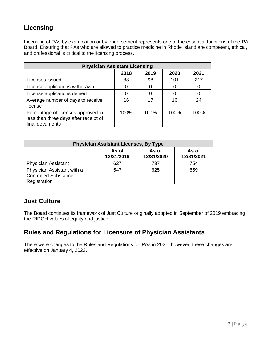# **Licensing**

Licensing of PAs by examination or by endorsement represents one of the essential functions of the PA Board. Ensuring that PAs who are allowed to practice medicine in Rhode Island are competent, ethical, and professional is critical to the licensing process.

| <b>Physician Assistant Licensing</b>                                                           |      |      |      |      |  |
|------------------------------------------------------------------------------------------------|------|------|------|------|--|
|                                                                                                | 2018 | 2019 | 2020 | 2021 |  |
| Licenses issued                                                                                | 88   | 98   | 101  | 217  |  |
| License applications withdrawn                                                                 |      | O    |      |      |  |
| License applications denied                                                                    |      | 0    |      |      |  |
| Average number of days to receive<br>license                                                   | 16   | 17   | 16   | 24   |  |
| Percentage of licenses approved in<br>less than three days after receipt of<br>final documents | 100% | 100% | 100% | 100% |  |

| <b>Physician Assistant Licenses, By Type</b>                              |                     |                     |                     |  |  |
|---------------------------------------------------------------------------|---------------------|---------------------|---------------------|--|--|
|                                                                           | As of<br>12/31/2019 | As of<br>12/31/2020 | As of<br>12/31/2021 |  |  |
| <b>Physician Assistant</b>                                                | 627                 | 737                 | 754                 |  |  |
| Physician Assistant with a<br><b>Controlled Substance</b><br>Registration | 547                 | 625                 | 659                 |  |  |

#### **Just Culture**

The Board continues its framework of Just Culture originally adopted in September of 2019 embracing the RIDOH values of equity and justice.

#### **Rules and Regulations for Licensure of Physician Assistants**

There were changes to the Rules and Regulations for PAs in 2021; however, these changes are effective on January 4, 2022.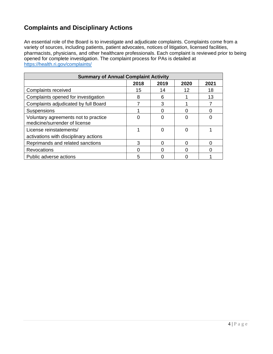# **Complaints and Disciplinary Actions**

An essential role of the Board is to investigate and adjudicate complaints. Complaints come from a variety of sources, including patients, patient advocates, notices of litigation, licensed facilities, pharmacists, physicians, and other healthcare professionals. Each complaint is reviewed prior to being opened for complete investigation. The complaint process for PAs is detailed at <https://health.ri.gov/complaints/>

| <b>Summary of Annual Complaint Activity</b>                           |      |      |      |      |  |
|-----------------------------------------------------------------------|------|------|------|------|--|
|                                                                       | 2018 | 2019 | 2020 | 2021 |  |
| Complaints received                                                   | 15   | 14   | 12   | 18   |  |
| Complaints opened for investigation                                   | 8    | 6    |      | 13   |  |
| Complaints adjudicated by full Board                                  |      | 3    |      |      |  |
| Suspensions                                                           |      |      |      |      |  |
| Voluntary agreements not to practice<br>medicine/surrender of license |      |      |      |      |  |
| License reinstatements/<br>activations with disciplinary actions      |      | 0    |      |      |  |
| Reprimands and related sanctions                                      | 3    | Ⴖ    |      |      |  |
| Revocations                                                           |      |      |      |      |  |
| Public adverse actions                                                | 5    |      |      |      |  |